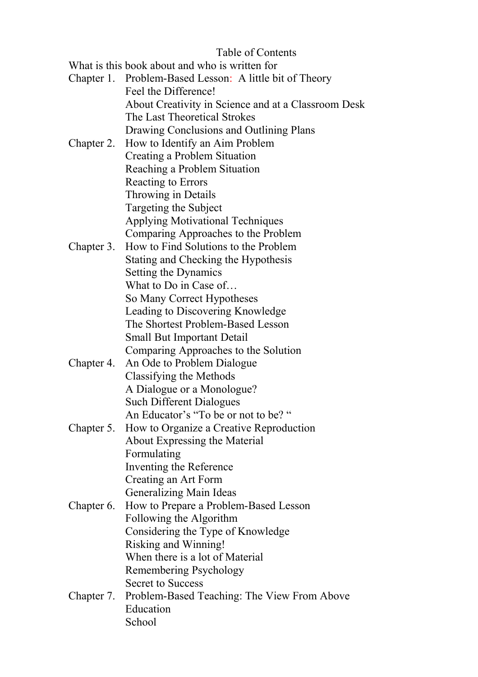## Table of Contents

What is this book about and who is written for

|            | Chapter 1. Problem-Based Lesson: A little bit of Theory |
|------------|---------------------------------------------------------|
|            | Feel the Difference!                                    |
|            | About Creativity in Science and at a Classroom Desk     |
|            | The Last Theoretical Strokes                            |
|            | Drawing Conclusions and Outlining Plans                 |
| Chapter 2. | How to Identify an Aim Problem                          |
|            | Creating a Problem Situation                            |
|            | Reaching a Problem Situation                            |
|            | Reacting to Errors                                      |
|            | Throwing in Details                                     |
|            | Targeting the Subject                                   |
|            | <b>Applying Motivational Techniques</b>                 |
|            | Comparing Approaches to the Problem                     |
| Chapter 3. | How to Find Solutions to the Problem                    |
|            | Stating and Checking the Hypothesis                     |
|            | Setting the Dynamics                                    |
|            | What to Do in Case of                                   |
|            | So Many Correct Hypotheses                              |
|            | Leading to Discovering Knowledge                        |
|            | The Shortest Problem-Based Lesson                       |
|            | <b>Small But Important Detail</b>                       |
|            | Comparing Approaches to the Solution                    |
| Chapter 4. | An Ode to Problem Dialogue                              |
|            | Classifying the Methods                                 |
|            | A Dialogue or a Monologue?                              |
|            | <b>Such Different Dialogues</b>                         |
|            | An Educator's "To be or not to be? "                    |
|            | How to Organize a Creative Reproduction                 |
| Chapter 5. |                                                         |
|            | About Expressing the Material                           |
|            | Formulating                                             |
|            | Inventing the Reference                                 |
|            | Creating an Art Form                                    |
|            | <b>Generalizing Main Ideas</b>                          |
| Chapter 6. | How to Prepare a Problem-Based Lesson                   |
|            | Following the Algorithm                                 |
|            | Considering the Type of Knowledge                       |
|            | Risking and Winning!                                    |
|            | When there is a lot of Material                         |
|            | Remembering Psychology                                  |
|            | <b>Secret to Success</b>                                |
| Chapter 7. | Problem-Based Teaching: The View From Above             |
|            | Education                                               |
|            | School                                                  |